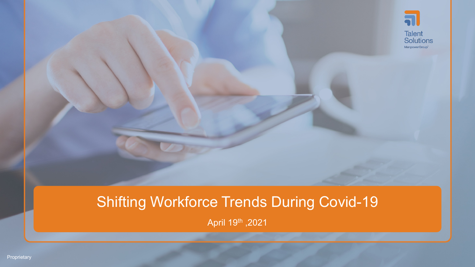

# Shifting Workforce Trends During Covid-19

April 19th ,2021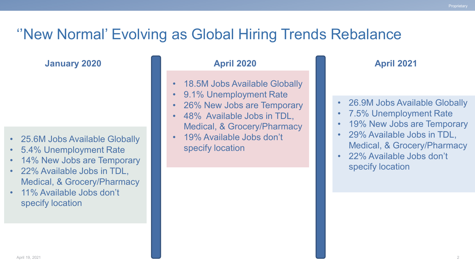### ''New Normal' Evolving as Global Hiring Trends Rebalance

**January 2020**

- 25.6M Jobs Available Globally
- 5.4% Unemployment Rate
- 14% New Jobs are Temporary
- 22% Available Jobs in TDL, Medical, & Grocery/Pharmacy
- 11% Available Jobs don't specify location

#### **April 2020 April 2021**

- 18.5M Jobs Available Globally
- 9.1% Unemployment Rate
- 26% New Jobs are Temporary
- 48% Available Jobs in TDL, Medical, & Grocery/Pharmacy
- 19% Available Jobs don't specify location

- 26.9M Jobs Available Globally
- 7.5% Unemployment Rate
- 19% New Jobs are Temporary
- 29% Available Jobs in TDL, Medical, & Grocery/Pharmacy
- 22% Available Jobs don't specify location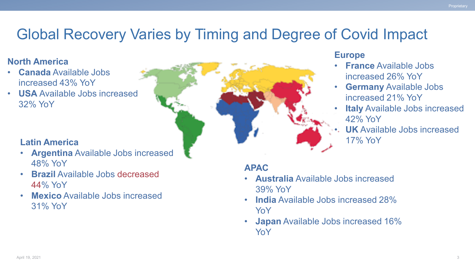## Global Recovery Varies by Timing and Degree of Covid Impact

### **North America**

- **Canada** Available Jobs increased 43% YoY
- **USA** Available Jobs increased 32% YoY

### **Latin America**

- **Argentina** Available Jobs increased 48% YoY
- **Brazil** Available Jobs decreased 44% YoY
- **Mexico** Available Jobs increased 31% YoY

#### **Europe**

- **France** Available Jobs increased 26% YoY
- **Germany** Available Jobs increased 21% YoY
- **Italy** Available Jobs increased 42% YoY
- **UK** Available Jobs increased 17% YoY

### **APAC**

- **Australia** Available Jobs increased 39% YoY
- **India** Available Jobs increased 28% YoY
- **Japan** Available Jobs increased 16% YoY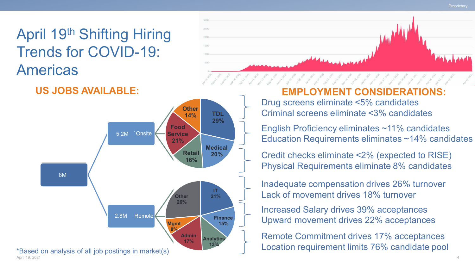**Proprietary** 

April 19th Shifting Hiring Trends for COVID-19: Americas



**US JOBS AVAILABLE:**



**ENT CONSIDERATIO** 

Drug screens eliminate <5% candidates Criminal screens eliminate <3% candidates

English Proficiency eliminates ~11% candidates Education Requirements eliminates ~14% candidates

Credit checks eliminate <2% (expected to RISE) Physical Requirements eliminate 8% candidates

Inadequate compensation drives 26% turnover Lack of movement drives 18% turnover

Increased Salary drives 39% acceptances Upward movement drives 22% acceptances

Remote Commitment drives 17% acceptances Location requirement limits 76% candidate pool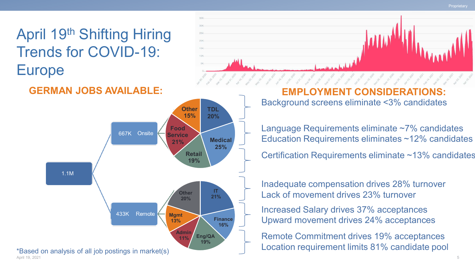**Proprietary** 

April 19th Shifting Hiring Trends for COVID-19: Europe



### **GERMAN JOBS AVAILABLE:**



Background screens eliminate <3% candidates **EMPLOYMENT CONSIDERATIONS:**

Language Requirements eliminate ~7% candidates Education Requirements eliminates ~12% candidates

Certification Requirements eliminate ~13% candidates

Inadequate compensation drives 28% turnover Lack of movement drives 23% turnover

Increased Salary drives 37% acceptances Upward movement drives 24% acceptances

Remote Commitment drives 19% acceptances Location requirement limits 81% candidate pool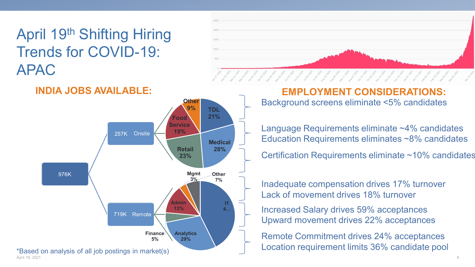April 19th Shifting Hiring Trends for COVID-19: APAC





Background screens eliminate <5% candidates **EMPLOYMENT CONSIDERATIONS:**

Language Requirements eliminate ~4% candidates Education Requirements eliminates ~8% candidates

Certification Requirements eliminate ~10% candidates

Inadequate compensation drives 17% turnover Lack of movement drives 18% turnover

Increased Salary drives 59% acceptances Upward movement drives 22% acceptances

Remote Commitment drives 24% acceptances Location requirement limits 36% candidate pool